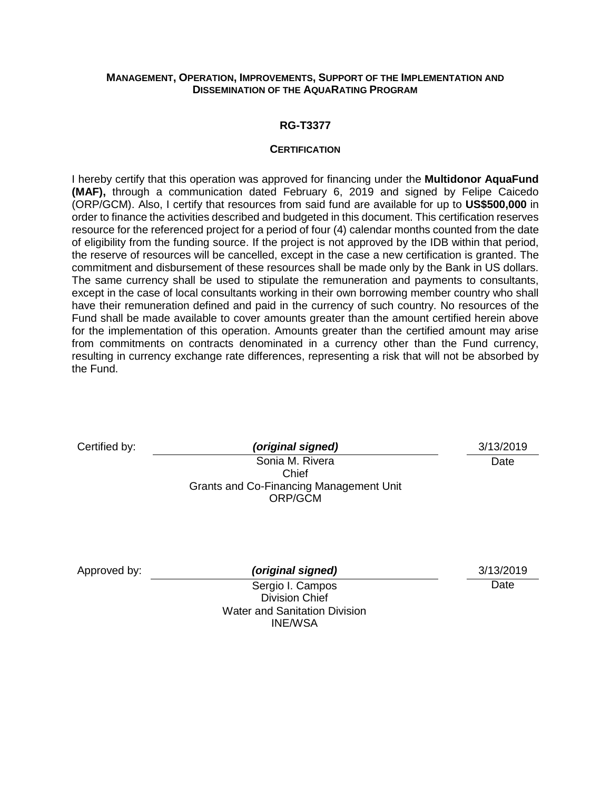#### **MANAGEMENT, OPERATION, IMPROVEMENTS, SUPPORT OF THE IMPLEMENTATION AND DISSEMINATION OF THE AQUARATING PROGRAM**

#### **RG-T3377**

#### **CERTIFICATION**

I hereby certify that this operation was approved for financing under the **Multidonor AquaFund (MAF),** through a communication dated February 6, 2019 and signed by Felipe Caicedo (ORP/GCM). Also, I certify that resources from said fund are available for up to **US\$500,000** in order to finance the activities described and budgeted in this document. This certification reserves resource for the referenced project for a period of four (4) calendar months counted from the date of eligibility from the funding source. If the project is not approved by the IDB within that period, the reserve of resources will be cancelled, except in the case a new certification is granted. The commitment and disbursement of these resources shall be made only by the Bank in US dollars. The same currency shall be used to stipulate the remuneration and payments to consultants, except in the case of local consultants working in their own borrowing member country who shall have their remuneration defined and paid in the currency of such country. No resources of the Fund shall be made available to cover amounts greater than the amount certified herein above for the implementation of this operation. Amounts greater than the certified amount may arise from commitments on contracts denominated in a currency other than the Fund currency, resulting in currency exchange rate differences, representing a risk that will not be absorbed by the Fund.

Certified by: *(original signed)* 3/13/2019

**Date** 

Sonia M. Rivera Chief Grants and Co-Financing Management Unit ORP/GCM

Approved by: *(original signed)* 3/13/2019

**Date** 

Sergio I. Campos Division Chief Water and Sanitation Division INE/WSA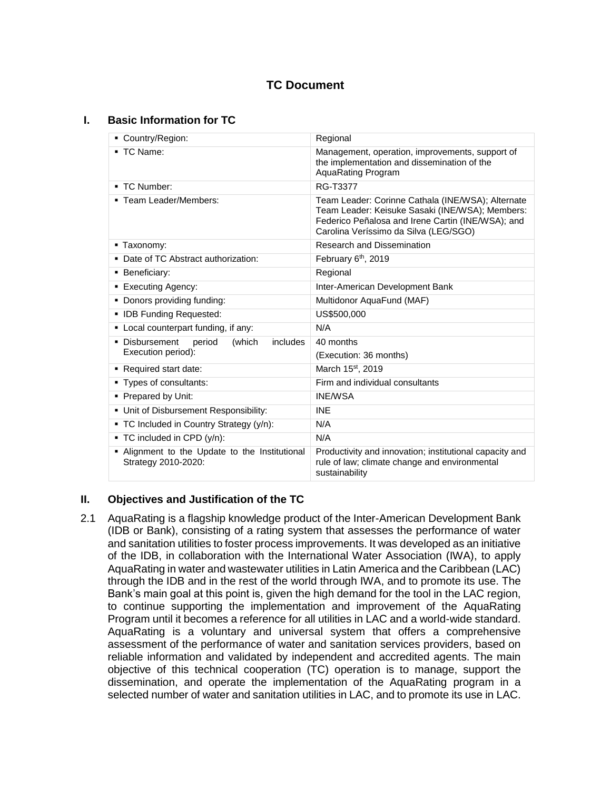# **TC Document**

#### **I. Basic Information for TC**

| Country/Region:                                                             | Regional                                                                                                                                                                                           |  |  |
|-----------------------------------------------------------------------------|----------------------------------------------------------------------------------------------------------------------------------------------------------------------------------------------------|--|--|
| ■ TC Name:                                                                  | Management, operation, improvements, support of<br>the implementation and dissemination of the<br><b>AquaRating Program</b>                                                                        |  |  |
| ■ TC Number:                                                                | RG-T3377                                                                                                                                                                                           |  |  |
| ■ Team Leader/Members:                                                      | Team Leader: Corinne Cathala (INE/WSA); Alternate<br>Team Leader: Keisuke Sasaki (INE/WSA); Members:<br>Federico Peñalosa and Irene Cartin (INE/WSA); and<br>Carolina Veríssimo da Silva (LEG/SGO) |  |  |
| - Taxonomy:                                                                 | Research and Dissemination                                                                                                                                                                         |  |  |
| • Date of TC Abstract authorization:                                        | February 6 <sup>th</sup> , 2019                                                                                                                                                                    |  |  |
| <b>Beneficiary:</b>                                                         | Regional                                                                                                                                                                                           |  |  |
| ■ Executing Agency:                                                         | Inter-American Development Bank                                                                                                                                                                    |  |  |
| • Donors providing funding:                                                 | Multidonor AquaFund (MAF)                                                                                                                                                                          |  |  |
| • IDB Funding Requested:                                                    | US\$500,000                                                                                                                                                                                        |  |  |
| • Local counterpart funding, if any:                                        | N/A                                                                                                                                                                                                |  |  |
| <i>includes</i><br>• Disbursement<br>period<br>(which<br>Execution period): | 40 months<br>(Execution: 36 months)                                                                                                                                                                |  |  |
| Required start date:                                                        | March 15 <sup>st</sup> , 2019                                                                                                                                                                      |  |  |
| • Types of consultants:                                                     | Firm and individual consultants                                                                                                                                                                    |  |  |
| • Prepared by Unit:                                                         | <b>INF/WSA</b>                                                                                                                                                                                     |  |  |
| • Unit of Disbursement Responsibility:                                      | <b>INE</b>                                                                                                                                                                                         |  |  |
| • TC Included in Country Strategy (y/n):                                    | N/A                                                                                                                                                                                                |  |  |
| $\blacksquare$ TC included in CPD (y/n):                                    | N/A                                                                                                                                                                                                |  |  |
| . Alignment to the Update to the Institutional<br>Strategy 2010-2020:       | Productivity and innovation; institutional capacity and<br>rule of law; climate change and environmental<br>sustainability                                                                         |  |  |

### **II. Objectives and Justification of the TC**

2.1 AquaRating is a flagship knowledge product of the Inter-American Development Bank (IDB or Bank), consisting of a rating system that assesses the performance of water and sanitation utilities to foster process improvements. It was developed as an initiative of the IDB, in collaboration with the International Water Association (IWA), to apply AquaRating in water and wastewater utilities in Latin America and the Caribbean (LAC) through the IDB and in the rest of the world through IWA, and to promote its use. The Bank's main goal at this point is, given the high demand for the tool in the LAC region, to continue supporting the implementation and improvement of the AquaRating Program until it becomes a reference for all utilities in LAC and a world-wide standard. AquaRating is a voluntary and universal system that offers a comprehensive assessment of the performance of water and sanitation services providers, based on reliable information and validated by independent and accredited agents. The main objective of this technical cooperation (TC) operation is to manage, support the dissemination, and operate the implementation of the AquaRating program in a selected number of water and sanitation utilities in LAC, and to promote its use in LAC.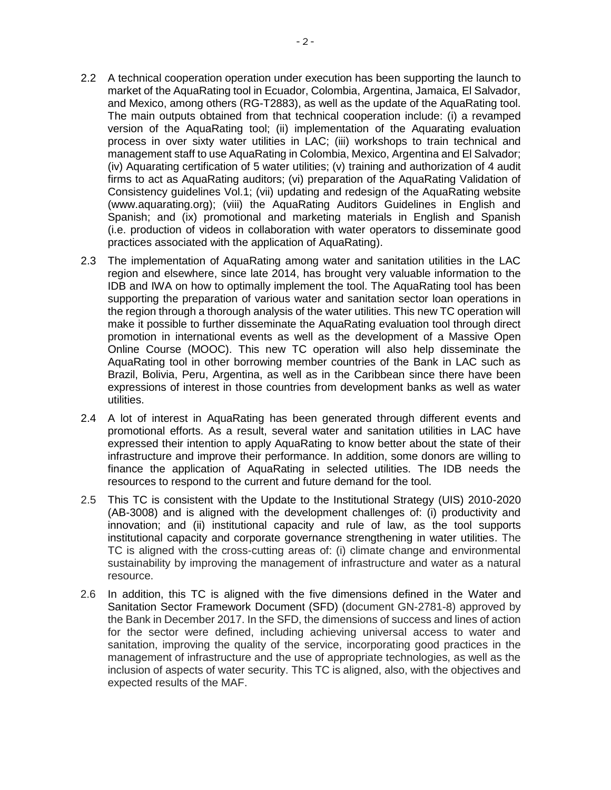- 2.2 A technical cooperation operation under execution has been supporting the launch to market of the AquaRating tool in Ecuador, Colombia, Argentina, Jamaica, El Salvador, and Mexico, among others (RG-T2883), as well as the update of the AquaRating tool. The main outputs obtained from that technical cooperation include: (i) a revamped version of the AquaRating tool; (ii) implementation of the Aquarating evaluation process in over sixty water utilities in LAC; (iii) workshops to train technical and management staff to use AquaRating in Colombia, Mexico, Argentina and El Salvador; (iv) Aquarating certification of 5 water utilities; (v) training and authorization of 4 audit firms to act as AquaRating auditors; (vi) preparation of the AquaRating Validation of Consistency guidelines Vol.1; (vii) updating and redesign of the AquaRating website (www.aquarating.org); (viii) the AquaRating Auditors Guidelines in English and Spanish; and (ix) promotional and marketing materials in English and Spanish (i.e. production of videos in collaboration with water operators to disseminate good practices associated with the application of AquaRating).
- 2.3 The implementation of AquaRating among water and sanitation utilities in the LAC region and elsewhere, since late 2014, has brought very valuable information to the IDB and IWA on how to optimally implement the tool. The AquaRating tool has been supporting the preparation of various water and sanitation sector loan operations in the region through a thorough analysis of the water utilities. This new TC operation will make it possible to further disseminate the AquaRating evaluation tool through direct promotion in international events as well as the development of a Massive Open Online Course (MOOC). This new TC operation will also help disseminate the AquaRating tool in other borrowing member countries of the Bank in LAC such as Brazil, Bolivia, Peru, Argentina, as well as in the Caribbean since there have been expressions of interest in those countries from development banks as well as water utilities.
- 2.4 A lot of interest in AquaRating has been generated through different events and promotional efforts. As a result, several water and sanitation utilities in LAC have expressed their intention to apply AquaRating to know better about the state of their infrastructure and improve their performance. In addition, some donors are willing to finance the application of AquaRating in selected utilities. The IDB needs the resources to respond to the current and future demand for the tool.
- 2.5 This TC is consistent with the Update to the Institutional Strategy (UIS) 2010-2020 (AB-3008) and is aligned with the development challenges of: (i) productivity and innovation; and (ii) institutional capacity and rule of law, as the tool supports institutional capacity and corporate governance strengthening in water utilities. The TC is aligned with the cross-cutting areas of: (i) climate change and environmental sustainability by improving the management of infrastructure and water as a natural resource.
- 2.6 In addition, this TC is aligned with the five dimensions defined in the Water and Sanitation Sector Framework Document (SFD) (document GN-2781-8) approved by the Bank in December 2017. In the SFD, the dimensions of success and lines of action for the sector were defined, including achieving universal access to water and sanitation, improving the quality of the service, incorporating good practices in the management of infrastructure and the use of appropriate technologies, as well as the inclusion of aspects of water security. This TC is aligned, also, with the objectives and expected results of the MAF.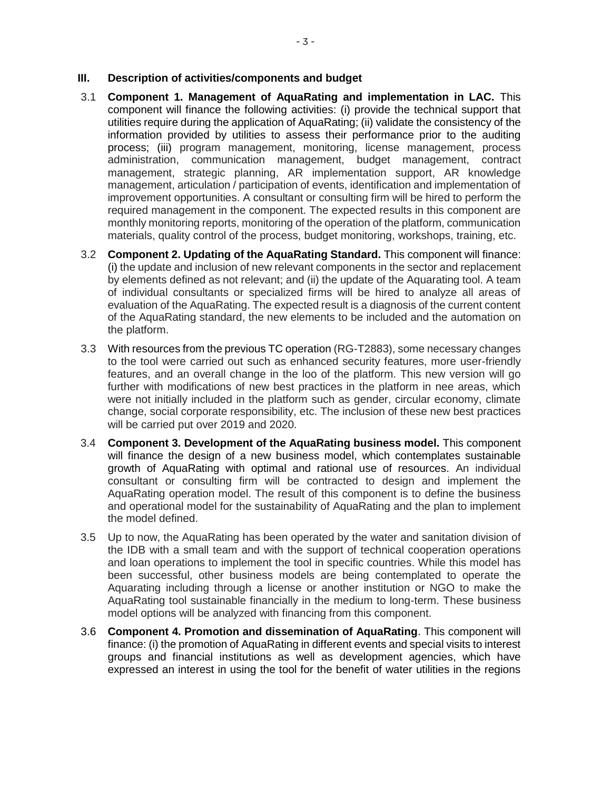- 3.1 **Component 1. Management of AquaRating and implementation in LAC.** This component will finance the following activities: (i) provide the technical support that utilities require during the application of AquaRating; (ii) validate the consistency of the information provided by utilities to assess their performance prior to the auditing process; (iii) program management, monitoring, license management, process administration, communication management, budget management, contract management, strategic planning, AR implementation support, AR knowledge management, articulation / participation of events, identification and implementation of improvement opportunities. A consultant or consulting firm will be hired to perform the required management in the component. The expected results in this component are monthly monitoring reports, monitoring of the operation of the platform, communication materials, quality control of the process, budget monitoring, workshops, training, etc.
- 3.2 **Component 2. Updating of the AquaRating Standard.** This component will finance: (i) the update and inclusion of new relevant components in the sector and replacement by elements defined as not relevant; and (ii) the update of the Aquarating tool. A team of individual consultants or specialized firms will be hired to analyze all areas of evaluation of the AquaRating. The expected result is a diagnosis of the current content of the AquaRating standard, the new elements to be included and the automation on the platform.
- 3.3 With resources from the previous TC operation (RG-T2883), some necessary changes to the tool were carried out such as enhanced security features, more user-friendly features, and an overall change in the loo of the platform. This new version will go further with modifications of new best practices in the platform in nee areas, which were not initially included in the platform such as gender, circular economy, climate change, social corporate responsibility, etc. The inclusion of these new best practices will be carried put over 2019 and 2020.
- 3.4 **Component 3. Development of the AquaRating business model.** This component will finance the design of a new business model, which contemplates sustainable growth of AquaRating with optimal and rational use of resources. An individual consultant or consulting firm will be contracted to design and implement the AquaRating operation model. The result of this component is to define the business and operational model for the sustainability of AquaRating and the plan to implement the model defined.
- 3.5 Up to now, the AquaRating has been operated by the water and sanitation division of the IDB with a small team and with the support of technical cooperation operations and loan operations to implement the tool in specific countries. While this model has been successful, other business models are being contemplated to operate the Aquarating including through a license or another institution or NGO to make the AquaRating tool sustainable financially in the medium to long-term. These business model options will be analyzed with financing from this component.
- 3.6 **Component 4. Promotion and dissemination of AquaRating**. This component will finance: (i) the promotion of AquaRating in different events and special visits to interest groups and financial institutions as well as development agencies, which have expressed an interest in using the tool for the benefit of water utilities in the regions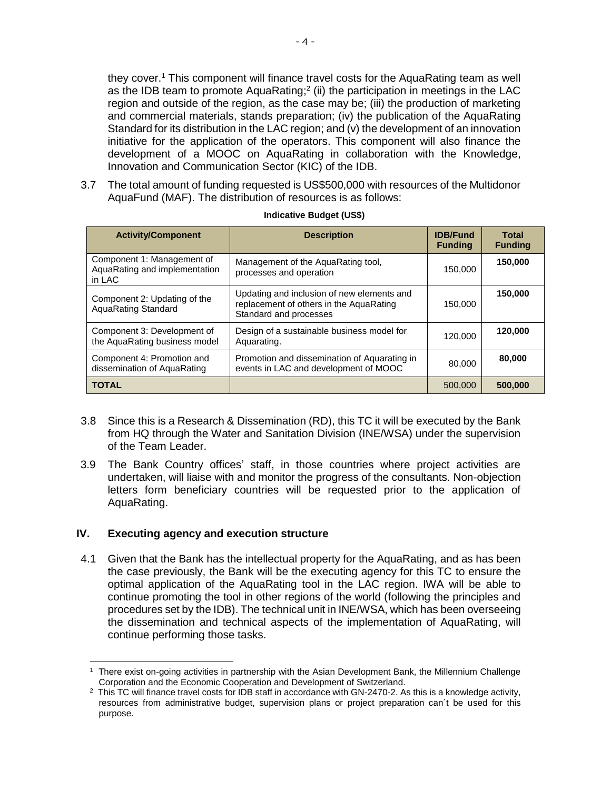they cover. <sup>1</sup> This component will finance travel costs for the AquaRating team as well as the IDB team to promote AquaRating;<sup>2</sup> (ii) the participation in meetings in the LAC region and outside of the region, as the case may be; (iii) the production of marketing and commercial materials, stands preparation; (iv) the publication of the AquaRating Standard for its distribution in the LAC region; and (v) the development of an innovation initiative for the application of the operators. This component will also finance the development of a MOOC on AquaRating in collaboration with the Knowledge, Innovation and Communication Sector (KIC) of the IDB.

3.7 The total amount of funding requested is US\$500,000 with resources of the Multidonor AquaFund (MAF). The distribution of resources is as follows:

| <b>Activity/Component</b>                                             | <b>Description</b>                                                                                              | <b>IDB/Fund</b><br><b>Funding</b> | Total<br><b>Funding</b> |
|-----------------------------------------------------------------------|-----------------------------------------------------------------------------------------------------------------|-----------------------------------|-------------------------|
| Component 1: Management of<br>AquaRating and implementation<br>in LAC | Management of the AguaRating tool,<br>processes and operation                                                   | 150,000                           | 150,000                 |
| Component 2: Updating of the<br>AquaRating Standard                   | Updating and inclusion of new elements and<br>replacement of others in the AquaRating<br>Standard and processes | 150,000                           | 150,000                 |
| Component 3: Development of<br>the AquaRating business model          | Design of a sustainable business model for<br>Aquarating.                                                       | 120,000                           | 120,000                 |
| Component 4: Promotion and<br>dissemination of AquaRating             | Promotion and dissemination of Aquarating in<br>events in LAC and development of MOOC                           | 80,000                            | 80,000                  |
| <b>TOTAL</b>                                                          |                                                                                                                 | 500,000                           | 500.000                 |

- 3.8 Since this is a Research & Dissemination (RD), this TC it will be executed by the Bank from HQ through the Water and Sanitation Division (INE/WSA) under the supervision of the Team Leader.
- 3.9 The Bank Country offices' staff, in those countries where project activities are undertaken, will liaise with and monitor the progress of the consultants. Non-objection letters form beneficiary countries will be requested prior to the application of AquaRating.

### **IV. Executing agency and execution structure**

4.1 Given that the Bank has the intellectual property for the AquaRating, and as has been the case previously, the Bank will be the executing agency for this TC to ensure the optimal application of the AquaRating tool in the LAC region. IWA will be able to continue promoting the tool in other regions of the world (following the principles and procedures set by the IDB). The technical unit in INE/WSA, which has been overseeing the dissemination and technical aspects of the implementation of AquaRating, will continue performing those tasks.

 $\overline{\phantom{a}}$ <sup>1</sup> There exist on-going activities in partnership with the Asian Development Bank, the Millennium Challenge Corporation and the Economic Cooperation and Development of Switzerland.

<sup>&</sup>lt;sup>2</sup> This TC will finance travel costs for IDB staff in accordance with GN-2470-2. As this is a knowledge activity, resources from administrative budget, supervision plans or project preparation can´t be used for this purpose.